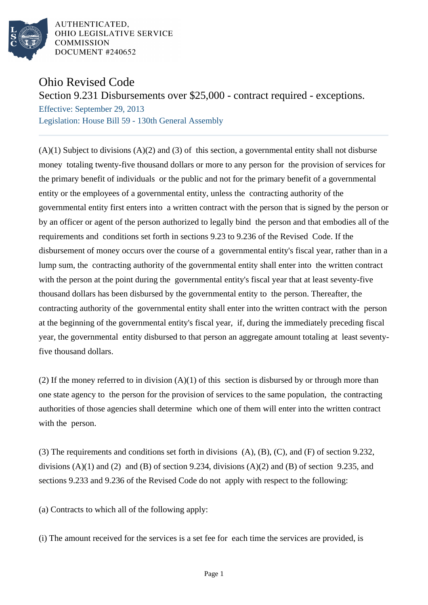

AUTHENTICATED. OHIO LEGISLATIVE SERVICE **COMMISSION** DOCUMENT #240652

## Ohio Revised Code

Section 9.231 Disbursements over \$25,000 - contract required - exceptions.

Effective: September 29, 2013 Legislation: House Bill 59 - 130th General Assembly

 $(A)(1)$  Subject to divisions  $(A)(2)$  and  $(B)(3)$  of this section, a governmental entity shall not disburse money totaling twenty-five thousand dollars or more to any person for the provision of services for the primary benefit of individuals or the public and not for the primary benefit of a governmental entity or the employees of a governmental entity, unless the contracting authority of the governmental entity first enters into a written contract with the person that is signed by the person or by an officer or agent of the person authorized to legally bind the person and that embodies all of the requirements and conditions set forth in sections 9.23 to 9.236 of the Revised Code. If the disbursement of money occurs over the course of a governmental entity's fiscal year, rather than in a lump sum, the contracting authority of the governmental entity shall enter into the written contract with the person at the point during the governmental entity's fiscal year that at least seventy-five thousand dollars has been disbursed by the governmental entity to the person. Thereafter, the contracting authority of the governmental entity shall enter into the written contract with the person at the beginning of the governmental entity's fiscal year, if, during the immediately preceding fiscal year, the governmental entity disbursed to that person an aggregate amount totaling at least seventyfive thousand dollars.

(2) If the money referred to in division  $(A)(1)$  of this section is disbursed by or through more than one state agency to the person for the provision of services to the same population, the contracting authorities of those agencies shall determine which one of them will enter into the written contract with the person.

(3) The requirements and conditions set forth in divisions (A), (B), (C), and (F) of section 9.232, divisions  $(A)(1)$  and  $(B)$  and  $(B)$  of section 9.234, divisions  $(A)(2)$  and  $(B)$  of section 9.235, and sections 9.233 and 9.236 of the Revised Code do not apply with respect to the following:

(a) Contracts to which all of the following apply:

(i) The amount received for the services is a set fee for each time the services are provided, is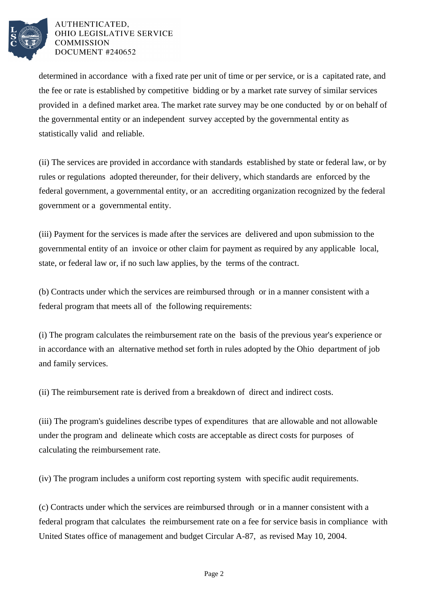

## AUTHENTICATED. OHIO LEGISLATIVE SERVICE **COMMISSION** DOCUMENT #240652

determined in accordance with a fixed rate per unit of time or per service, or is a capitated rate, and the fee or rate is established by competitive bidding or by a market rate survey of similar services provided in a defined market area. The market rate survey may be one conducted by or on behalf of the governmental entity or an independent survey accepted by the governmental entity as statistically valid and reliable.

(ii) The services are provided in accordance with standards established by state or federal law, or by rules or regulations adopted thereunder, for their delivery, which standards are enforced by the federal government, a governmental entity, or an accrediting organization recognized by the federal government or a governmental entity.

(iii) Payment for the services is made after the services are delivered and upon submission to the governmental entity of an invoice or other claim for payment as required by any applicable local, state, or federal law or, if no such law applies, by the terms of the contract.

(b) Contracts under which the services are reimbursed through or in a manner consistent with a federal program that meets all of the following requirements:

(i) The program calculates the reimbursement rate on the basis of the previous year's experience or in accordance with an alternative method set forth in rules adopted by the Ohio department of job and family services.

(ii) The reimbursement rate is derived from a breakdown of direct and indirect costs.

(iii) The program's guidelines describe types of expenditures that are allowable and not allowable under the program and delineate which costs are acceptable as direct costs for purposes of calculating the reimbursement rate.

(iv) The program includes a uniform cost reporting system with specific audit requirements.

(c) Contracts under which the services are reimbursed through or in a manner consistent with a federal program that calculates the reimbursement rate on a fee for service basis in compliance with United States office of management and budget Circular A-87, as revised May 10, 2004.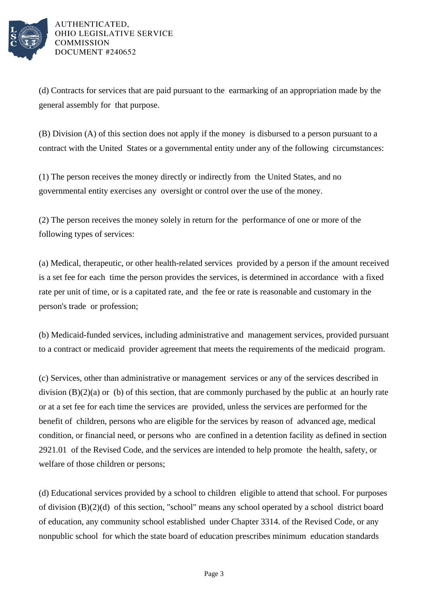

(d) Contracts for services that are paid pursuant to the earmarking of an appropriation made by the general assembly for that purpose.

(B) Division (A) of this section does not apply if the money is disbursed to a person pursuant to a contract with the United States or a governmental entity under any of the following circumstances:

(1) The person receives the money directly or indirectly from the United States, and no governmental entity exercises any oversight or control over the use of the money.

(2) The person receives the money solely in return for the performance of one or more of the following types of services:

(a) Medical, therapeutic, or other health-related services provided by a person if the amount received is a set fee for each time the person provides the services, is determined in accordance with a fixed rate per unit of time, or is a capitated rate, and the fee or rate is reasonable and customary in the person's trade or profession;

(b) Medicaid-funded services, including administrative and management services, provided pursuant to a contract or medicaid provider agreement that meets the requirements of the medicaid program.

(c) Services, other than administrative or management services or any of the services described in division  $(B)(2)(a)$  or (b) of this section, that are commonly purchased by the public at an hourly rate or at a set fee for each time the services are provided, unless the services are performed for the benefit of children, persons who are eligible for the services by reason of advanced age, medical condition, or financial need, or persons who are confined in a detention facility as defined in section 2921.01 of the Revised Code, and the services are intended to help promote the health, safety, or welfare of those children or persons;

(d) Educational services provided by a school to children eligible to attend that school. For purposes of division (B)(2)(d) of this section, "school" means any school operated by a school district board of education, any community school established under Chapter 3314. of the Revised Code, or any nonpublic school for which the state board of education prescribes minimum education standards